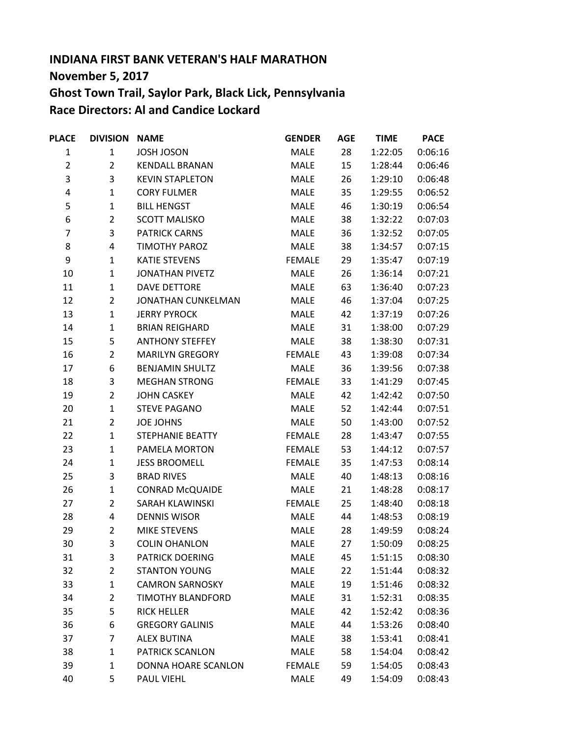## **INDIANA FIRST BANK VETERAN'S HALF MARATHON November 5, 2017 Ghost Town Trail, Saylor Park, Black Lick, Pennsylvania Race Directors: Al and Candice Lockard**

| <b>PLACE</b>   | <b>DIVISION NAME</b> |                        | <b>GENDER</b> | <b>AGE</b> | <b>TIME</b> | <b>PACE</b> |
|----------------|----------------------|------------------------|---------------|------------|-------------|-------------|
| $\mathbf{1}$   | $\mathbf{1}$         | JOSH JOSON             | <b>MALE</b>   | 28         | 1:22:05     | 0:06:16     |
| $\overline{2}$ | $\overline{2}$       | <b>KENDALL BRANAN</b>  | <b>MALE</b>   | 15         | 1:28:44     | 0:06:46     |
| 3              | 3                    | <b>KEVIN STAPLETON</b> | MALE          | 26         | 1:29:10     | 0:06:48     |
| 4              | $\mathbf{1}$         | <b>CORY FULMER</b>     | MALE          | 35         | 1:29:55     | 0:06:52     |
| 5              | $\mathbf{1}$         | <b>BILL HENGST</b>     | MALE          | 46         | 1:30:19     | 0:06:54     |
| 6              | $\overline{2}$       | <b>SCOTT MALISKO</b>   | <b>MALE</b>   | 38         | 1:32:22     | 0:07:03     |
| 7              | 3                    | <b>PATRICK CARNS</b>   | MALE          | 36         | 1:32:52     | 0:07:05     |
| 8              | 4                    | <b>TIMOTHY PAROZ</b>   | MALE          | 38         | 1:34:57     | 0:07:15     |
| 9              | $\mathbf{1}$         | <b>KATIE STEVENS</b>   | <b>FEMALE</b> | 29         | 1:35:47     | 0:07:19     |
| 10             | $\mathbf{1}$         | <b>JONATHAN PIVETZ</b> | <b>MALE</b>   | 26         | 1:36:14     | 0:07:21     |
| 11             | $\mathbf{1}$         | <b>DAVE DETTORE</b>    | MALE          | 63         | 1:36:40     | 0:07:23     |
| 12             | $\overline{2}$       | JONATHAN CUNKELMAN     | MALE          | 46         | 1:37:04     | 0:07:25     |
| 13             | $\mathbf{1}$         | <b>JERRY PYROCK</b>    | MALE          | 42         | 1:37:19     | 0:07:26     |
| 14             | $\mathbf{1}$         | <b>BRIAN REIGHARD</b>  | <b>MALE</b>   | 31         | 1:38:00     | 0:07:29     |
| 15             | 5                    | <b>ANTHONY STEFFEY</b> | MALE          | 38         | 1:38:30     | 0:07:31     |
| 16             | $\overline{2}$       | <b>MARILYN GREGORY</b> | <b>FEMALE</b> | 43         | 1:39:08     | 0:07:34     |
| 17             | 6                    | <b>BENJAMIN SHULTZ</b> | <b>MALE</b>   | 36         | 1:39:56     | 0:07:38     |
| 18             | 3                    | <b>MEGHAN STRONG</b>   | <b>FEMALE</b> | 33         | 1:41:29     | 0:07:45     |
| 19             | $\overline{2}$       | <b>JOHN CASKEY</b>     | MALE          | 42         | 1:42:42     | 0:07:50     |
| 20             | $\mathbf{1}$         | <b>STEVE PAGANO</b>    | <b>MALE</b>   | 52         | 1:42:44     | 0:07:51     |
| 21             | $\overline{2}$       | <b>JOE JOHNS</b>       | MALE          | 50         | 1:43:00     | 0:07:52     |
| 22             | $\mathbf{1}$         | STEPHANIE BEATTY       | <b>FEMALE</b> | 28         | 1:43:47     | 0:07:55     |
| 23             | $\mathbf{1}$         | PAMELA MORTON          | <b>FEMALE</b> | 53         | 1:44:12     | 0:07:57     |
| 24             | $\mathbf{1}$         | <b>JESS BROOMELL</b>   | <b>FEMALE</b> | 35         | 1:47:53     | 0:08:14     |
| 25             | 3                    | <b>BRAD RIVES</b>      | <b>MALE</b>   | 40         | 1:48:13     | 0:08:16     |
| 26             | $\mathbf{1}$         | <b>CONRAD McQUAIDE</b> | <b>MALE</b>   | 21         | 1:48:28     | 0:08:17     |
| 27             | $\overline{2}$       | SARAH KLAWINSKI        | <b>FEMALE</b> | 25         | 1:48:40     | 0:08:18     |
| 28             | 4                    | <b>DENNIS WISOR</b>    | MALE          | 44         | 1:48:53     | 0:08:19     |
| 29             | $\overline{2}$       | MIKE STEVENS           | <b>MALE</b>   | 28         | 1:49:59     | 0:08:24     |
| 30             | 3                    | <b>COLIN OHANLON</b>   | MALE          | 27         | 1:50:09     | 0:08:25     |
| 31             | 3                    | <b>PATRICK DOERING</b> | <b>MALE</b>   | 45         | 1:51:15     | 0:08:30     |
| 32             | $\overline{2}$       | <b>STANTON YOUNG</b>   | MALE          | 22         | 1:51:44     | 0:08:32     |
| 33             | $\mathbf{1}$         | <b>CAMRON SARNOSKY</b> | <b>MALE</b>   | 19         | 1:51:46     | 0:08:32     |
| 34             | $\overline{2}$       | TIMOTHY BLANDFORD      | MALE          | 31         | 1:52:31     | 0:08:35     |
| 35             | 5                    | <b>RICK HELLER</b>     | MALE          | 42         | 1:52:42     | 0:08:36     |
| 36             | 6                    | <b>GREGORY GALINIS</b> | <b>MALE</b>   | 44         | 1:53:26     | 0:08:40     |
| 37             | 7                    | <b>ALEX BUTINA</b>     | MALE          | 38         | 1:53:41     | 0:08:41     |
| 38             | $\mathbf{1}$         | PATRICK SCANLON        | MALE          | 58         | 1:54:04     | 0:08:42     |
| 39             | $\mathbf{1}$         | DONNA HOARE SCANLON    | <b>FEMALE</b> | 59         | 1:54:05     | 0:08:43     |
| 40             | 5                    | PAUL VIEHL             | <b>MALE</b>   | 49         | 1:54:09     | 0:08:43     |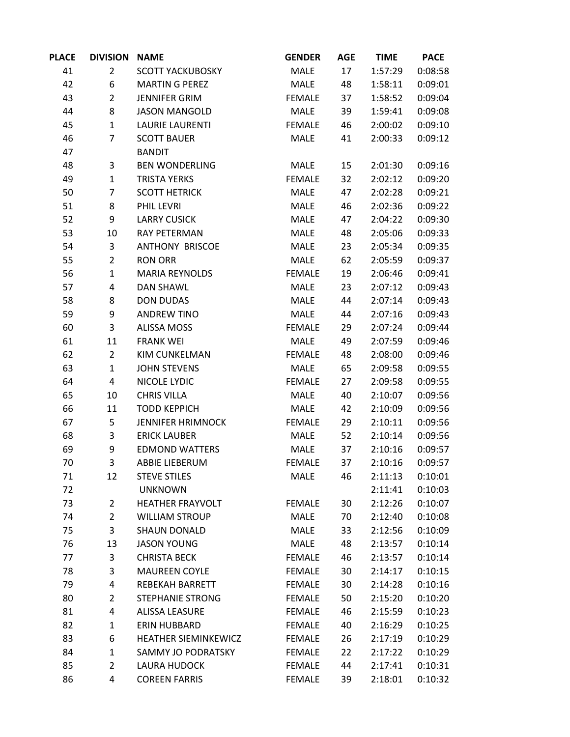| <b>PLACE</b> | <b>DIVISION</b> | <b>NAME</b>              | <b>GENDER</b> | <b>AGE</b> | <b>TIME</b> | <b>PACE</b> |
|--------------|-----------------|--------------------------|---------------|------------|-------------|-------------|
| 41           | $\overline{2}$  | <b>SCOTT YACKUBOSKY</b>  | <b>MALE</b>   | 17         | 1:57:29     | 0:08:58     |
| 42           | 6               | <b>MARTIN G PEREZ</b>    | <b>MALE</b>   | 48         | 1:58:11     | 0:09:01     |
| 43           | $\overline{2}$  | JENNIFER GRIM            | <b>FEMALE</b> | 37         | 1:58:52     | 0:09:04     |
| 44           | 8               | <b>JASON MANGOLD</b>     | <b>MALE</b>   | 39         | 1:59:41     | 0:09:08     |
| 45           | $\mathbf{1}$    | <b>LAURIE LAURENTI</b>   | <b>FEMALE</b> | 46         | 2:00:02     | 0:09:10     |
| 46           | $\overline{7}$  | <b>SCOTT BAUER</b>       | MALE          | 41         | 2:00:33     | 0:09:12     |
| 47           |                 | <b>BANDIT</b>            |               |            |             |             |
| 48           | 3               | <b>BEN WONDERLING</b>    | <b>MALE</b>   | 15         | 2:01:30     | 0:09:16     |
| 49           | $\mathbf{1}$    | <b>TRISTA YERKS</b>      | <b>FEMALE</b> | 32         | 2:02:12     | 0:09:20     |
| 50           | $\overline{7}$  | <b>SCOTT HETRICK</b>     | <b>MALE</b>   | 47         | 2:02:28     | 0:09:21     |
| 51           | 8               | PHIL LEVRI               | MALE          | 46         | 2:02:36     | 0:09:22     |
| 52           | 9               | <b>LARRY CUSICK</b>      | MALE          | 47         | 2:04:22     | 0:09:30     |
| 53           | 10              | RAY PETERMAN             | MALE          | 48         | 2:05:06     | 0:09:33     |
| 54           | 3               | <b>ANTHONY BRISCOE</b>   | <b>MALE</b>   | 23         | 2:05:34     | 0:09:35     |
| 55           | $\overline{2}$  | <b>RON ORR</b>           | MALE          | 62         | 2:05:59     | 0:09:37     |
| 56           | $\mathbf{1}$    | <b>MARIA REYNOLDS</b>    | <b>FEMALE</b> | 19         | 2:06:46     | 0:09:41     |
| 57           | 4               | <b>DAN SHAWL</b>         | MALE          | 23         | 2:07:12     | 0:09:43     |
| 58           | 8               | <b>DON DUDAS</b>         | MALE          | 44         | 2:07:14     | 0:09:43     |
| 59           | 9               | <b>ANDREW TINO</b>       | MALE          | 44         | 2:07:16     | 0:09:43     |
| 60           | 3               | <b>ALISSA MOSS</b>       | <b>FEMALE</b> | 29         | 2:07:24     | 0:09:44     |
| 61           | 11              | <b>FRANK WEI</b>         | <b>MALE</b>   | 49         | 2:07:59     | 0:09:46     |
| 62           | $\overline{2}$  | KIM CUNKELMAN            | <b>FEMALE</b> | 48         | 2:08:00     | 0:09:46     |
| 63           | $\mathbf{1}$    | <b>JOHN STEVENS</b>      | <b>MALE</b>   | 65         | 2:09:58     | 0:09:55     |
| 64           | 4               | NICOLE LYDIC             | <b>FEMALE</b> | 27         | 2:09:58     | 0:09:55     |
| 65           | 10              | <b>CHRIS VILLA</b>       | <b>MALE</b>   | 40         | 2:10:07     | 0:09:56     |
| 66           | 11              | <b>TODD KEPPICH</b>      | MALE          | 42         | 2:10:09     | 0:09:56     |
| 67           | 5               | <b>JENNIFER HRIMNOCK</b> | <b>FEMALE</b> | 29         | 2:10:11     | 0:09:56     |
| 68           | 3               | <b>ERICK LAUBER</b>      | <b>MALE</b>   | 52         | 2:10:14     | 0:09:56     |
| 69           | 9               | <b>EDMOND WATTERS</b>    | MALE          | 37         | 2:10:16     | 0:09:57     |
| 70           | 3               | <b>ABBIE LIEBERUM</b>    | <b>FEMALE</b> | 37         | 2:10:16     | 0:09:57     |
| 71           | 12              | <b>STEVE STILES</b>      | <b>MALE</b>   | 46         | 2:11:13     | 0:10:01     |
| 72           |                 | <b>UNKNOWN</b>           |               |            | 2:11:41     | 0:10:03     |
| 73           | $\overline{2}$  | HEATHER FRAYVOLT         | <b>FEMALE</b> | 30         | 2:12:26     | 0:10:07     |
| 74           | $\overline{2}$  | <b>WILLIAM STROUP</b>    | <b>MALE</b>   | 70         | 2:12:40     | 0:10:08     |
| 75           | 3               | <b>SHAUN DONALD</b>      | <b>MALE</b>   | 33         | 2:12:56     | 0:10:09     |
| 76           | 13              | <b>JASON YOUNG</b>       | <b>MALE</b>   | 48         | 2:13:57     | 0:10:14     |
| 77           | 3               | <b>CHRISTA BECK</b>      | <b>FEMALE</b> | 46         | 2:13:57     | 0:10:14     |
| 78           | 3               | <b>MAUREEN COYLE</b>     | <b>FEMALE</b> | 30         | 2:14:17     | 0:10:15     |
| 79           | 4               | <b>REBEKAH BARRETT</b>   | <b>FEMALE</b> | 30         | 2:14:28     | 0:10:16     |
| 80           | $\overline{2}$  | <b>STEPHANIE STRONG</b>  | <b>FEMALE</b> | 50         | 2:15:20     | 0:10:20     |
| 81           | 4               | <b>ALISSA LEASURE</b>    | <b>FEMALE</b> | 46         | 2:15:59     | 0:10:23     |
| 82           | $\mathbf{1}$    | ERIN HUBBARD             | <b>FEMALE</b> | 40         | 2:16:29     | 0:10:25     |
| 83           | 6               | HEATHER SIEMINKEWICZ     | <b>FEMALE</b> | 26         | 2:17:19     | 0:10:29     |
| 84           | $\mathbf{1}$    | SAMMY JO PODRATSKY       | <b>FEMALE</b> | 22         | 2:17:22     | 0:10:29     |
| 85           | $\overline{2}$  | LAURA HUDOCK             | <b>FEMALE</b> | 44         | 2:17:41     | 0:10:31     |
| 86           | 4               | <b>COREEN FARRIS</b>     | <b>FEMALE</b> | 39         | 2:18:01     | 0:10:32     |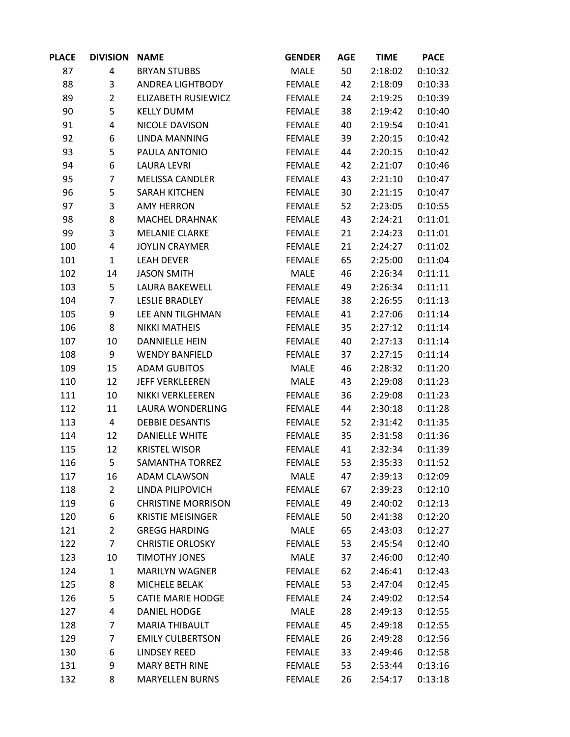| <b>PLACE</b> | <b>DIVISION NAME</b> |                           | <b>GENDER</b> | <b>AGE</b> | <b>TIME</b> | <b>PACE</b> |
|--------------|----------------------|---------------------------|---------------|------------|-------------|-------------|
| 87           | 4                    | <b>BRYAN STUBBS</b>       | <b>MALE</b>   | 50         | 2:18:02     | 0:10:32     |
| 88           | 3                    | ANDREA LIGHTBODY          | <b>FEMALE</b> | 42         | 2:18:09     | 0:10:33     |
| 89           | $\overline{2}$       | ELIZABETH RUSIEWICZ       | <b>FEMALE</b> | 24         | 2:19:25     | 0:10:39     |
| 90           | 5                    | <b>KELLY DUMM</b>         | FEMALE        | 38         | 2:19:42     | 0:10:40     |
| 91           | 4                    | NICOLE DAVISON            | <b>FEMALE</b> | 40         | 2:19:54     | 0:10:41     |
| 92           | 6                    | <b>LINDA MANNING</b>      | <b>FEMALE</b> | 39         | 2:20:15     | 0:10:42     |
| 93           | 5                    | PAULA ANTONIO             | <b>FEMALE</b> | 44         | 2:20:15     | 0:10:42     |
| 94           | 6                    | <b>LAURA LEVRI</b>        | <b>FEMALE</b> | 42         | 2:21:07     | 0:10:46     |
| 95           | $\overline{7}$       | <b>MELISSA CANDLER</b>    | <b>FEMALE</b> | 43         | 2:21:10     | 0:10:47     |
| 96           | 5                    | <b>SARAH KITCHEN</b>      | <b>FEMALE</b> | 30         | 2:21:15     | 0:10:47     |
| 97           | 3                    | <b>AMY HERRON</b>         | <b>FEMALE</b> | 52         | 2:23:05     | 0:10:55     |
| 98           | 8                    | MACHEL DRAHNAK            | <b>FEMALE</b> | 43         | 2:24:21     | 0:11:01     |
| 99           | 3                    | <b>MELANIE CLARKE</b>     | <b>FEMALE</b> | 21         | 2:24:23     | 0:11:01     |
| 100          | 4                    | <b>JOYLIN CRAYMER</b>     | <b>FEMALE</b> | 21         | 2:24:27     | 0:11:02     |
| 101          | $\mathbf{1}$         | <b>LEAH DEVER</b>         | <b>FEMALE</b> | 65         | 2:25:00     | 0:11:04     |
| 102          | 14                   | <b>JASON SMITH</b>        | MALE          | 46         | 2:26:34     | 0:11:11     |
| 103          | 5                    | LAURA BAKEWELL            | <b>FEMALE</b> | 49         | 2:26:34     | 0:11:11     |
| 104          | $\overline{7}$       | <b>LESLIE BRADLEY</b>     | <b>FEMALE</b> | 38         | 2:26:55     | 0:11:13     |
| 105          | 9                    | LEE ANN TILGHMAN          | <b>FEMALE</b> | 41         | 2:27:06     | 0:11:14     |
| 106          | 8                    | <b>NIKKI MATHEIS</b>      | <b>FEMALE</b> | 35         | 2:27:12     | 0:11:14     |
| 107          | 10                   | <b>DANNIELLE HEIN</b>     | <b>FEMALE</b> | 40         | 2:27:13     | 0:11:14     |
| 108          | 9                    | <b>WENDY BANFIELD</b>     | <b>FEMALE</b> | 37         | 2:27:15     | 0:11:14     |
| 109          | 15                   | <b>ADAM GUBITOS</b>       | MALE          | 46         | 2:28:32     | 0:11:20     |
| 110          | 12                   | <b>JEFF VERKLEEREN</b>    | MALE          | 43         | 2:29:08     | 0:11:23     |
| 111          | 10                   | NIKKI VERKLEEREN          | <b>FEMALE</b> | 36         | 2:29:08     | 0:11:23     |
| 112          | 11                   | LAURA WONDERLING          | <b>FEMALE</b> | 44         | 2:30:18     | 0:11:28     |
| 113          | 4                    | <b>DEBBIE DESANTIS</b>    | <b>FEMALE</b> | 52         | 2:31:42     | 0:11:35     |
| 114          | 12                   | <b>DANIELLE WHITE</b>     | <b>FEMALE</b> | 35         | 2:31:58     | 0:11:36     |
| 115          | 12                   | <b>KRISTEL WISOR</b>      | <b>FEMALE</b> | 41         | 2:32:34     | 0:11:39     |
| 116          | 5                    | <b>SAMANTHA TORREZ</b>    | <b>FEMALE</b> | 53         | 2:35:33     | 0:11:52     |
| 117          | 16                   | <b>ADAM CLAWSON</b>       | <b>MALE</b>   | 47         | 2:39:13     | 0:12:09     |
| 118          | $\overline{2}$       | LINDA PILIPOVICH          | <b>FEMALE</b> | 67         | 2:39:23     | 0:12:10     |
| 119          | 6                    | <b>CHRISTINE MORRISON</b> | <b>FEMALE</b> | 49         | 2:40:02     | 0:12:13     |
| 120          | 6                    | <b>KRISTIE MEISINGER</b>  | <b>FEMALE</b> | 50         | 2:41:38     | 0:12:20     |
| 121          | $\overline{2}$       | <b>GREGG HARDING</b>      | <b>MALE</b>   | 65         | 2:43:03     | 0:12:27     |
| 122          | $\overline{7}$       | <b>CHRISTIE ORLOSKY</b>   | <b>FEMALE</b> | 53         | 2:45:54     | 0:12:40     |
| 123          | 10                   | TIMOTHY JONES             | <b>MALE</b>   | 37         | 2:46:00     | 0:12:40     |
| 124          | $\mathbf{1}$         | <b>MARILYN WAGNER</b>     | <b>FEMALE</b> | 62         | 2:46:41     | 0:12:43     |
| 125          | 8                    | MICHELE BELAK             | <b>FEMALE</b> | 53         | 2:47:04     | 0:12:45     |
| 126          | 5                    | <b>CATIE MARIE HODGE</b>  | <b>FEMALE</b> | 24         | 2:49:02     | 0:12:54     |
| 127          | 4                    | DANIEL HODGE              | <b>MALE</b>   | 28         | 2:49:13     | 0:12:55     |
| 128          | $\overline{7}$       | <b>MARIA THIBAULT</b>     | <b>FEMALE</b> | 45         | 2:49:18     | 0:12:55     |
| 129          | $\overline{7}$       | <b>EMILY CULBERTSON</b>   | <b>FEMALE</b> | 26         | 2:49:28     | 0:12:56     |
| 130          | 6                    | <b>LINDSEY REED</b>       | <b>FEMALE</b> | 33         | 2:49:46     | 0:12:58     |
| 131          | 9                    | <b>MARY BETH RINE</b>     | <b>FEMALE</b> | 53         | 2:53:44     | 0:13:16     |
| 132          | 8                    | <b>MARYELLEN BURNS</b>    | <b>FEMALE</b> | 26         | 2:54:17     | 0:13:18     |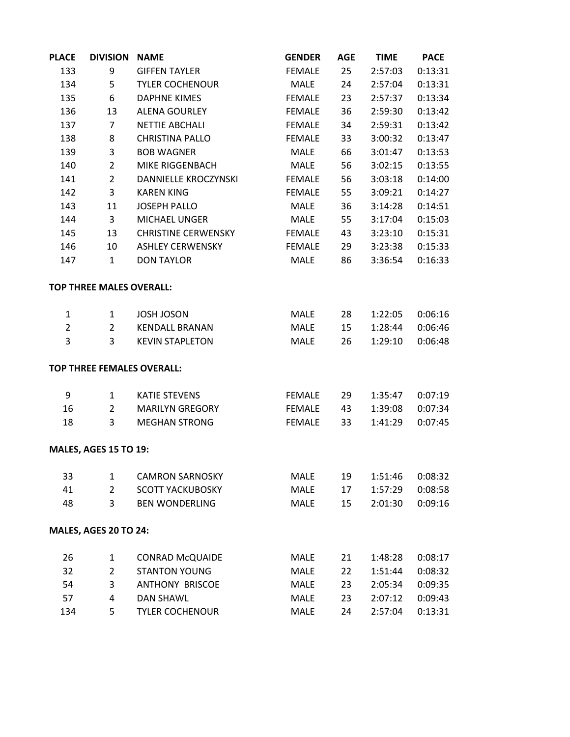| <b>PLACE</b>   | <b>DIVISION</b>                 | <b>NAME</b>                | <b>GENDER</b> | <b>AGE</b> | <b>TIME</b> | <b>PACE</b> |
|----------------|---------------------------------|----------------------------|---------------|------------|-------------|-------------|
| 133            | 9                               | <b>GIFFEN TAYLER</b>       | <b>FEMALE</b> | 25         | 2:57:03     | 0:13:31     |
| 134            | 5                               | <b>TYLER COCHENOUR</b>     | MALE          | 24         | 2:57:04     | 0:13:31     |
| 135            | 6                               | <b>DAPHNE KIMES</b>        | <b>FEMALE</b> | 23         | 2:57:37     | 0:13:34     |
| 136            | 13                              | <b>ALENA GOURLEY</b>       | <b>FEMALE</b> | 36         | 2:59:30     | 0:13:42     |
| 137            | $\overline{7}$                  | <b>NETTIE ABCHALI</b>      | <b>FEMALE</b> | 34         | 2:59:31     | 0:13:42     |
| 138            | 8                               | <b>CHRISTINA PALLO</b>     | <b>FEMALE</b> | 33         | 3:00:32     | 0:13:47     |
| 139            | 3                               | <b>BOB WAGNER</b>          | <b>MALE</b>   | 66         | 3:01:47     | 0:13:53     |
| 140            | $\overline{2}$                  | MIKE RIGGENBACH            | <b>MALE</b>   | 56         | 3:02:15     | 0:13:55     |
| 141            | $\overline{2}$                  | DANNIELLE KROCZYNSKI       | <b>FEMALE</b> | 56         | 3:03:18     | 0:14:00     |
| 142            | 3                               | <b>KAREN KING</b>          | <b>FEMALE</b> | 55         | 3:09:21     | 0:14:27     |
| 143            | 11                              | <b>JOSEPH PALLO</b>        | MALE          | 36         | 3:14:28     | 0:14:51     |
| 144            | 3                               | <b>MICHAEL UNGER</b>       | <b>MALE</b>   | 55         | 3:17:04     | 0:15:03     |
| 145            | 13                              | <b>CHRISTINE CERWENSKY</b> | <b>FEMALE</b> | 43         | 3:23:10     | 0:15:31     |
| 146            | 10                              | <b>ASHLEY CERWENSKY</b>    | <b>FEMALE</b> | 29         | 3:23:38     | 0:15:33     |
| 147            | $\mathbf{1}$                    | <b>DON TAYLOR</b>          | <b>MALE</b>   | 86         | 3:36:54     | 0:16:33     |
|                | <b>TOP THREE MALES OVERALL:</b> |                            |               |            |             |             |
| 1              | $\mathbf{1}$                    | <b>JOSH JOSON</b>          | <b>MALE</b>   | 28         | 1:22:05     | 0:06:16     |
| $\overline{2}$ | $\overline{2}$                  | <b>KENDALL BRANAN</b>      | <b>MALE</b>   | 15         | 1:28:44     | 0:06:46     |
| 3              | 3                               | <b>KEVIN STAPLETON</b>     | <b>MALE</b>   | 26         | 1:29:10     | 0:06:48     |
|                |                                 | TOP THREE FEMALES OVERALL: |               |            |             |             |
| 9              | $\mathbf{1}$                    | <b>KATIE STEVENS</b>       | <b>FEMALE</b> | 29         | 1:35:47     | 0:07:19     |
| 16             | $\overline{2}$                  | <b>MARILYN GREGORY</b>     | <b>FEMALE</b> | 43         | 1:39:08     | 0:07:34     |
| 18             | 3                               | <b>MEGHAN STRONG</b>       | <b>FEMALE</b> | 33         | 1:41:29     | 0:07:45     |
|                | <b>MALES, AGES 15 TO 19:</b>    |                            |               |            |             |             |
| 33             | $\mathbf{1}$                    | <b>CAMRON SARNOSKY</b>     | <b>MALE</b>   | 19         | 1:51:46     | 0:08:32     |
| 41             | $\overline{2}$                  | <b>SCOTT YACKUBOSKY</b>    | MALE          | 17         | 1:57:29     | 0:08:58     |
| 48             | 3                               | <b>BEN WONDERLING</b>      | <b>MALE</b>   | 15         | 2:01:30     | 0:09:16     |
|                | MALES, AGES 20 TO 24:           |                            |               |            |             |             |
| 26             | $\mathbf{1}$                    | <b>CONRAD McQUAIDE</b>     | <b>MALE</b>   | 21         | 1:48:28     | 0:08:17     |
| 32             | $\overline{2}$                  | <b>STANTON YOUNG</b>       | <b>MALE</b>   | 22         | 1:51:44     | 0:08:32     |
| 54             | 3                               | <b>ANTHONY BRISCOE</b>     | <b>MALE</b>   | 23         | 2:05:34     | 0:09:35     |
| 57             | $\overline{4}$                  | <b>DAN SHAWL</b>           | MALE          | 23         | 2:07:12     | 0:09:43     |
| 134            | 5                               | <b>TYLER COCHENOUR</b>     | <b>MALE</b>   | 24         | 2:57:04     | 0:13:31     |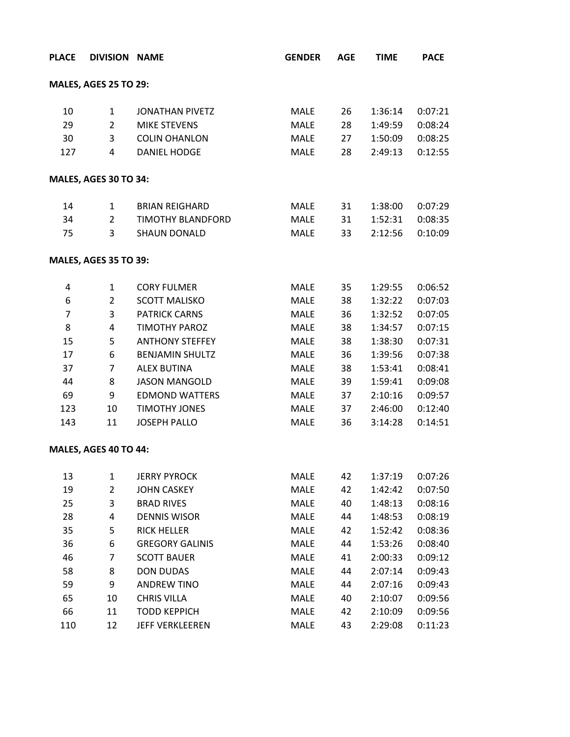| <b>PLACE</b>   | <b>DIVISION NAME</b>         |                          | <b>GENDER</b> | <b>AGE</b> | <b>TIME</b> | <b>PACE</b> |
|----------------|------------------------------|--------------------------|---------------|------------|-------------|-------------|
|                | <b>MALES, AGES 25 TO 29:</b> |                          |               |            |             |             |
| 10             | $\mathbf{1}$                 | <b>JONATHAN PIVETZ</b>   | <b>MALE</b>   | 26         | 1:36:14     | 0:07:21     |
| 29             | $\overline{2}$               | <b>MIKE STEVENS</b>      | <b>MALE</b>   | 28         | 1:49:59     | 0:08:24     |
| 30             | 3                            | <b>COLIN OHANLON</b>     | <b>MALE</b>   | 27         | 1:50:09     | 0:08:25     |
| 127            | $\overline{4}$               | <b>DANIEL HODGE</b>      | MALE          | 28         | 2:49:13     | 0:12:55     |
|                | <b>MALES, AGES 30 TO 34:</b> |                          |               |            |             |             |
| 14             | $\mathbf{1}$                 | <b>BRIAN REIGHARD</b>    | MALE          | 31         | 1:38:00     | 0:07:29     |
| 34             | $\overline{2}$               | <b>TIMOTHY BLANDFORD</b> | MALE          | 31         | 1:52:31     | 0:08:35     |
| 75             | 3                            | <b>SHAUN DONALD</b>      | <b>MALE</b>   | 33         | 2:12:56     | 0:10:09     |
|                | <b>MALES, AGES 35 TO 39:</b> |                          |               |            |             |             |
| 4              | $\mathbf{1}$                 | <b>CORY FULMER</b>       | MALE          | 35         | 1:29:55     | 0:06:52     |
| 6              | $\overline{2}$               | <b>SCOTT MALISKO</b>     | <b>MALE</b>   | 38         | 1:32:22     | 0:07:03     |
| $\overline{7}$ | 3                            | <b>PATRICK CARNS</b>     | <b>MALE</b>   | 36         | 1:32:52     | 0:07:05     |
| 8              | 4                            | <b>TIMOTHY PAROZ</b>     | <b>MALE</b>   | 38         | 1:34:57     | 0:07:15     |
| 15             | 5                            | <b>ANTHONY STEFFEY</b>   | MALE          | 38         | 1:38:30     | 0:07:31     |
| 17             | 6                            | <b>BENJAMIN SHULTZ</b>   | <b>MALE</b>   | 36         | 1:39:56     | 0:07:38     |
| 37             | $\overline{7}$               | <b>ALEX BUTINA</b>       | <b>MALE</b>   | 38         | 1:53:41     | 0:08:41     |
| 44             | 8                            | <b>JASON MANGOLD</b>     | <b>MALE</b>   | 39         | 1:59:41     | 0:09:08     |
| 69             | 9                            | <b>EDMOND WATTERS</b>    | <b>MALE</b>   | 37         | 2:10:16     | 0:09:57     |
| 123            | 10                           | <b>TIMOTHY JONES</b>     | <b>MALE</b>   | 37         | 2:46:00     | 0:12:40     |
| 143            | 11                           | <b>JOSEPH PALLO</b>      | <b>MALE</b>   | 36         | 3:14:28     | 0:14:51     |
|                | MALES, AGES 40 TO 44:        |                          |               |            |             |             |
| 13             | $\mathbf{1}$                 | <b>JERRY PYROCK</b>      | <b>MALE</b>   | 42         | 1:37:19     | 0:07:26     |
| 19             | $\overline{2}$               | <b>JOHN CASKEY</b>       | <b>MALE</b>   | 42         | 1:42:42     | 0:07:50     |
| 25             | 3                            | <b>BRAD RIVES</b>        | <b>MALE</b>   | 40         | 1:48:13     | 0:08:16     |
| 28             | 4                            | <b>DENNIS WISOR</b>      | MALE          | 44         | 1:48:53     | 0:08:19     |
| 35             | 5                            | <b>RICK HELLER</b>       | MALE          | 42         | 1:52:42     | 0:08:36     |
| 36             | 6                            | <b>GREGORY GALINIS</b>   | MALE          | 44         | 1:53:26     | 0:08:40     |
| 46             | 7                            | <b>SCOTT BAUER</b>       | <b>MALE</b>   | 41         | 2:00:33     | 0:09:12     |
| 58             | 8                            | <b>DON DUDAS</b>         | <b>MALE</b>   | 44         | 2:07:14     | 0:09:43     |
| 59             | 9                            | <b>ANDREW TINO</b>       | <b>MALE</b>   | 44         | 2:07:16     | 0:09:43     |
| 65             | 10                           | <b>CHRIS VILLA</b>       | MALE          | 40         | 2:10:07     | 0:09:56     |
| 66             | 11                           | <b>TODD KEPPICH</b>      | <b>MALE</b>   | 42         | 2:10:09     | 0:09:56     |
| 110            | 12                           | JEFF VERKLEEREN          | <b>MALE</b>   | 43         | 2:29:08     | 0:11:23     |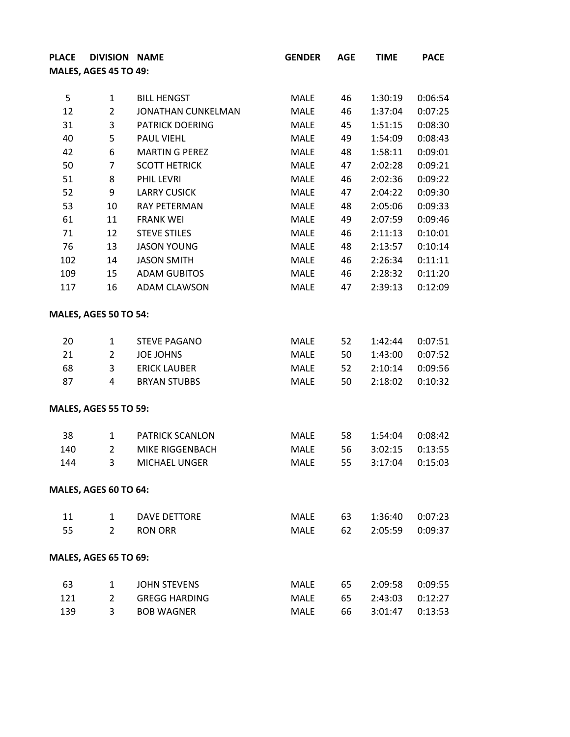| <b>PLACE</b> | <b>DIVISION NAME</b>         |                        | <b>GENDER</b> | <b>AGE</b> | <b>TIME</b> | <b>PACE</b> |
|--------------|------------------------------|------------------------|---------------|------------|-------------|-------------|
|              | <b>MALES, AGES 45 TO 49:</b> |                        |               |            |             |             |
|              |                              |                        |               |            |             |             |
| 5            | $\mathbf{1}$                 | <b>BILL HENGST</b>     | <b>MALE</b>   | 46         | 1:30:19     | 0:06:54     |
| 12           | $\overline{2}$               | JONATHAN CUNKELMAN     | <b>MALE</b>   | 46         | 1:37:04     | 0:07:25     |
| 31           | 3                            | <b>PATRICK DOERING</b> | <b>MALE</b>   | 45         | 1:51:15     | 0:08:30     |
| 40           | 5                            | PAUL VIEHL             | <b>MALE</b>   | 49         | 1:54:09     | 0:08:43     |
| 42           | 6                            | <b>MARTIN G PEREZ</b>  | <b>MALE</b>   | 48         | 1:58:11     | 0:09:01     |
| 50           | $\overline{7}$               | <b>SCOTT HETRICK</b>   | <b>MALE</b>   | 47         | 2:02:28     | 0:09:21     |
| 51           | 8                            | PHIL LEVRI             | <b>MALE</b>   | 46         | 2:02:36     | 0:09:22     |
| 52           | 9                            | <b>LARRY CUSICK</b>    | <b>MALE</b>   | 47         | 2:04:22     | 0:09:30     |
| 53           | 10                           | <b>RAY PETERMAN</b>    | <b>MALE</b>   | 48         | 2:05:06     | 0:09:33     |
| 61           | 11                           | <b>FRANK WEI</b>       | <b>MALE</b>   | 49         | 2:07:59     | 0:09:46     |
| 71           | 12                           | <b>STEVE STILES</b>    | <b>MALE</b>   | 46         | 2:11:13     | 0:10:01     |
| 76           | 13                           | <b>JASON YOUNG</b>     | <b>MALE</b>   | 48         | 2:13:57     | 0:10:14     |
| 102          | 14                           | <b>JASON SMITH</b>     | <b>MALE</b>   | 46         | 2:26:34     | 0:11:11     |
| 109          | 15                           | <b>ADAM GUBITOS</b>    | <b>MALE</b>   | 46         | 2:28:32     | 0:11:20     |
| 117          | 16                           | <b>ADAM CLAWSON</b>    | <b>MALE</b>   | 47         | 2:39:13     | 0:12:09     |
|              | <b>MALES, AGES 50 TO 54:</b> |                        |               |            |             |             |
| 20           | $\mathbf{1}$                 | <b>STEVE PAGANO</b>    | <b>MALE</b>   | 52         | 1:42:44     | 0:07:51     |
| 21           | $\overline{2}$               | <b>JOE JOHNS</b>       | <b>MALE</b>   | 50         | 1:43:00     | 0:07:52     |
| 68           | 3                            | <b>ERICK LAUBER</b>    | <b>MALE</b>   | 52         | 2:10:14     | 0:09:56     |
| 87           | 4                            | <b>BRYAN STUBBS</b>    | <b>MALE</b>   | 50         | 2:18:02     | 0:10:32     |
|              | <b>MALES, AGES 55 TO 59:</b> |                        |               |            |             |             |
| 38           | $\mathbf{1}$                 | <b>PATRICK SCANLON</b> | <b>MALE</b>   | 58         | 1:54:04     | 0:08:42     |
| 140          | $\overline{2}$               | MIKE RIGGENBACH        | <b>MALE</b>   | 56         | 3:02:15     | 0:13:55     |
| 144          | 3                            | <b>MICHAEL UNGER</b>   | <b>MALE</b>   | 55         | 3:17:04     | 0:15:03     |
|              | MALES, AGES 60 TO 64:        |                        |               |            |             |             |
| 11           | $\mathbf{1}$                 | <b>DAVE DETTORE</b>    | MALE          | 63         | 1:36:40     | 0:07:23     |
| 55           | $\mathcal{L}$                | <b>RON ORR</b>         | MALE          | 62         | 2:05:59     | 0:09:37     |
|              | <b>MALES, AGES 65 TO 69:</b> |                        |               |            |             |             |
| 63           | $\mathbf{1}$                 | <b>JOHN STEVENS</b>    | MALE          | 65         | 2:09:58     | 0:09:55     |
| 121          | $\overline{2}$               | <b>GREGG HARDING</b>   | MALE          | 65         | 2:43:03     | 0:12:27     |
| 139          | 3                            | <b>BOB WAGNER</b>      | <b>MALE</b>   | 66         | 3:01:47     | 0:13:53     |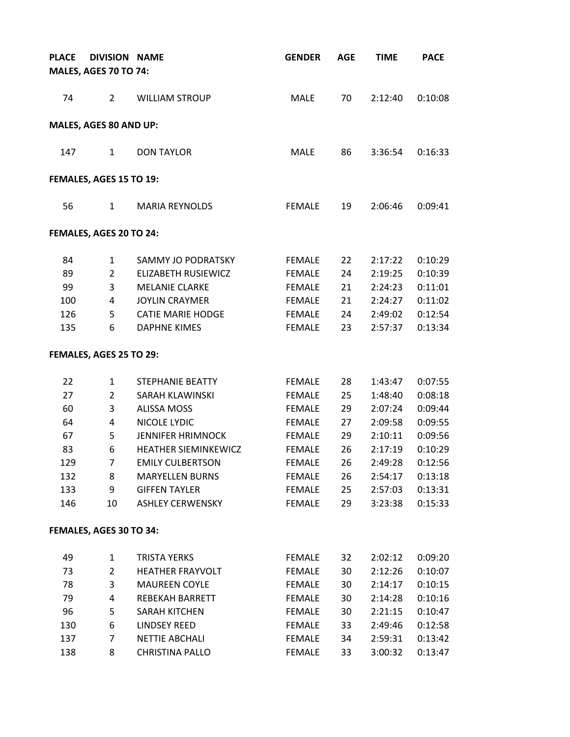| <b>PLACE</b> | <b>DIVISION NAME</b>         |                          | <b>GENDER</b> | <b>AGE</b> | <b>TIME</b> | <b>PACE</b> |
|--------------|------------------------------|--------------------------|---------------|------------|-------------|-------------|
|              | <b>MALES, AGES 70 TO 74:</b> |                          |               |            |             |             |
| 74           | $\overline{2}$               | <b>WILLIAM STROUP</b>    | <b>MALE</b>   | 70         | 2:12:40     | 0:10:08     |
|              | MALES, AGES 80 AND UP:       |                          |               |            |             |             |
| 147          | 1                            | <b>DON TAYLOR</b>        | <b>MALE</b>   | 86         | 3:36:54     | 0:16:33     |
|              | FEMALES, AGES 15 TO 19:      |                          |               |            |             |             |
| 56           | $\mathbf{1}$                 | <b>MARIA REYNOLDS</b>    | <b>FEMALE</b> | 19         | 2:06:46     | 0:09:41     |
|              | FEMALES, AGES 20 TO 24:      |                          |               |            |             |             |
| 84           | $\mathbf{1}$                 | SAMMY JO PODRATSKY       | <b>FEMALE</b> | 22         | 2:17:22     | 0:10:29     |
| 89           | $\overline{2}$               | ELIZABETH RUSIEWICZ      | <b>FEMALE</b> | 24         | 2:19:25     | 0:10:39     |
| 99           | 3                            | MELANIE CLARKE           | <b>FEMALE</b> | 21         | 2:24:23     | 0:11:01     |
| 100          | 4                            | <b>JOYLIN CRAYMER</b>    | FEMALE        | 21         | 2:24:27     | 0:11:02     |
| 126          | 5                            | <b>CATIE MARIE HODGE</b> | <b>FEMALE</b> | 24         | 2:49:02     | 0:12:54     |
| 135          | 6                            | <b>DAPHNE KIMES</b>      | <b>FEMALE</b> | 23         | 2:57:37     | 0:13:34     |
|              | FEMALES, AGES 25 TO 29:      |                          |               |            |             |             |
| 22           | $\mathbf{1}$                 | STEPHANIE BEATTY         | <b>FEMALE</b> | 28         | 1:43:47     | 0:07:55     |
| 27           | $\overline{2}$               | SARAH KLAWINSKI          | <b>FEMALE</b> | 25         | 1:48:40     | 0:08:18     |
| 60           | 3                            | <b>ALISSA MOSS</b>       | <b>FEMALE</b> | 29         | 2:07:24     | 0:09:44     |
| 64           | 4                            | NICOLE LYDIC             | <b>FEMALE</b> | 27         | 2:09:58     | 0:09:55     |
| 67           | 5                            | <b>JENNIFER HRIMNOCK</b> | <b>FEMALE</b> | 29         | 2:10:11     | 0:09:56     |
| 83           | 6                            | HEATHER SIEMINKEWICZ     | <b>FEMALE</b> | 26         | 2:17:19     | 0:10:29     |
| 129          | $\overline{7}$               | <b>EMILY CULBERTSON</b>  | <b>FEMALE</b> | 26         | 2:49:28     | 0:12:56     |
| 132          | 8                            | <b>MARYELLEN BURNS</b>   | <b>FEMALE</b> | 26         | 2:54:17     | 0:13:18     |
| 133          | 9                            | <b>GIFFEN TAYLER</b>     | <b>FEMALE</b> | 25         | 2:57:03     | 0:13:31     |
| 146          | 10                           | <b>ASHLEY CERWENSKY</b>  | <b>FEMALE</b> | 29         | 3:23:38     | 0:15:33     |
|              | FEMALES, AGES 30 TO 34:      |                          |               |            |             |             |
| 49           | $\mathbf{1}$                 | <b>TRISTA YERKS</b>      | <b>FEMALE</b> | 32         | 2:02:12     | 0:09:20     |
| 73           | $\overline{2}$               | HEATHER FRAYVOLT         | <b>FEMALE</b> | 30         | 2:12:26     | 0:10:07     |
| 78           | 3                            | <b>MAUREEN COYLE</b>     | <b>FEMALE</b> | 30         | 2:14:17     | 0:10:15     |
| 79           | 4                            | REBEKAH BARRETT          | <b>FEMALE</b> | 30         | 2:14:28     | 0:10:16     |
| 96           | 5                            | <b>SARAH KITCHEN</b>     | <b>FEMALE</b> | 30         | 2:21:15     | 0:10:47     |
| 130          | 6                            | <b>LINDSEY REED</b>      | <b>FEMALE</b> | 33         | 2:49:46     | 0:12:58     |
| 137          | 7                            | <b>NETTIE ABCHALI</b>    | <b>FEMALE</b> | 34         | 2:59:31     | 0:13:42     |
| 138          | 8                            | <b>CHRISTINA PALLO</b>   | <b>FEMALE</b> | 33         | 3:00:32     | 0:13:47     |
|              |                              |                          |               |            |             |             |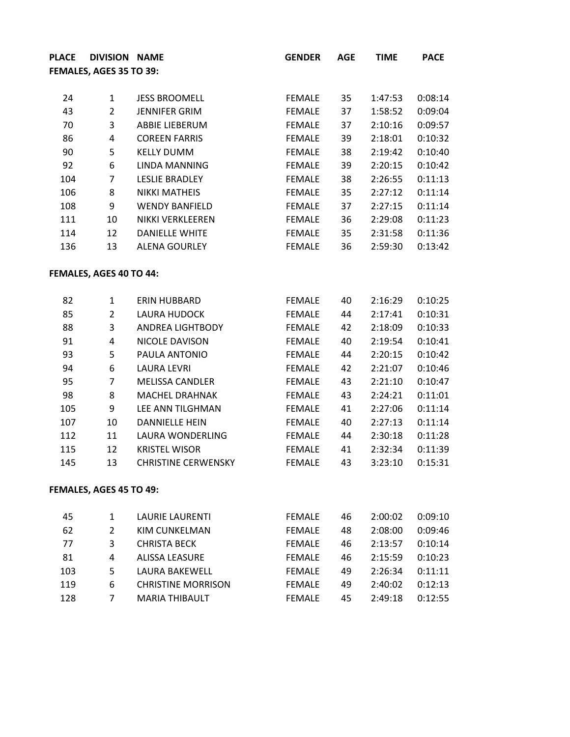| <b>PLACE</b> | <b>DIVISION NAME</b>    |                            | <b>GENDER</b> | <b>AGE</b> | <b>TIME</b> | <b>PACE</b> |
|--------------|-------------------------|----------------------------|---------------|------------|-------------|-------------|
|              | FEMALES, AGES 35 TO 39: |                            |               |            |             |             |
|              |                         |                            |               |            |             |             |
| 24           | $\mathbf{1}$            | <b>JESS BROOMELL</b>       | <b>FEMALE</b> | 35         | 1:47:53     | 0:08:14     |
| 43           | $\overline{2}$          | <b>JENNIFER GRIM</b>       | <b>FEMALE</b> | 37         | 1:58:52     | 0:09:04     |
| 70           | 3                       | ABBIE LIEBERUM             | <b>FEMALE</b> | 37         | 2:10:16     | 0:09:57     |
| 86           | $\overline{\mathbf{4}}$ | <b>COREEN FARRIS</b>       | <b>FEMALE</b> | 39         | 2:18:01     | 0:10:32     |
| 90           | 5                       | <b>KELLY DUMM</b>          | <b>FEMALE</b> | 38         | 2:19:42     | 0:10:40     |
| 92           | 6                       | <b>LINDA MANNING</b>       | <b>FEMALE</b> | 39         | 2:20:15     | 0:10:42     |
| 104          | 7                       | <b>LESLIE BRADLEY</b>      | <b>FEMALE</b> | 38         | 2:26:55     | 0:11:13     |
| 106          | 8                       | <b>NIKKI MATHEIS</b>       | <b>FEMALE</b> | 35         | 2:27:12     | 0:11:14     |
| 108          | 9                       | <b>WENDY BANFIELD</b>      | <b>FEMALE</b> | 37         | 2:27:15     | 0:11:14     |
| 111          | 10                      | NIKKI VERKLEEREN           | <b>FEMALE</b> | 36         | 2:29:08     | 0:11:23     |
| 114          | 12                      | <b>DANIELLE WHITE</b>      | <b>FEMALE</b> | 35         | 2:31:58     | 0:11:36     |
| 136          | 13                      | <b>ALENA GOURLEY</b>       | <b>FEMALE</b> | 36         | 2:59:30     | 0:13:42     |
|              | FEMALES, AGES 40 TO 44: |                            |               |            |             |             |
| 82           | $\mathbf{1}$            | ERIN HUBBARD               | <b>FEMALE</b> | 40         | 2:16:29     | 0:10:25     |
| 85           | $\overline{2}$          | LAURA HUDOCK               | <b>FEMALE</b> | 44         | 2:17:41     | 0:10:31     |
| 88           | 3                       | ANDREA LIGHTBODY           | <b>FEMALE</b> | 42         | 2:18:09     | 0:10:33     |
| 91           | $\overline{\mathbf{4}}$ | NICOLE DAVISON             | <b>FEMALE</b> | 40         | 2:19:54     | 0:10:41     |
| 93           | 5                       | PAULA ANTONIO              | <b>FEMALE</b> | 44         | 2:20:15     | 0:10:42     |
| 94           | 6                       | LAURA LEVRI                | <b>FEMALE</b> | 42         | 2:21:07     | 0:10:46     |
| 95           | $\overline{7}$          | <b>MELISSA CANDLER</b>     | <b>FEMALE</b> | 43         | 2:21:10     | 0:10:47     |
| 98           | 8                       | <b>MACHEL DRAHNAK</b>      | <b>FEMALE</b> | 43         | 2:24:21     | 0:11:01     |
| 105          | 9                       | LEE ANN TILGHMAN           | <b>FEMALE</b> | 41         | 2:27:06     | 0:11:14     |
| 107          | 10                      | <b>DANNIELLE HEIN</b>      | <b>FEMALE</b> | 40         | 2:27:13     | 0:11:14     |
| 112          | 11                      | LAURA WONDERLING           | <b>FEMALE</b> | 44         | 2:30:18     | 0:11:28     |
| 115          | 12                      | <b>KRISTEL WISOR</b>       | <b>FEMALE</b> | 41         | 2:32:34     | 0:11:39     |
| 145          | 13                      | <b>CHRISTINE CERWENSKY</b> | <b>FEMALE</b> | 43         | 3:23:10     | 0:15:31     |

## **FEMALES, AGES 45 TO 49:**

| -45 |   | LAURIE LAURENTI           | <b>FEMALE</b> | 46 | 2:00:02 | 0:09:10 |
|-----|---|---------------------------|---------------|----|---------|---------|
| 62  |   | KIM CUNKELMAN             | <b>FEMALE</b> | 48 | 2:08:00 | 0:09:46 |
| -77 |   | <b>CHRISTA BECK</b>       | <b>FFMALE</b> | 46 | 2:13:57 | 0:10:14 |
| -81 | 4 | <b>ALISSA LEASURE</b>     | <b>FEMALE</b> | 46 | 2:15:59 | 0:10:23 |
| 103 |   | LAURA BAKEWELL            | <b>FEMALE</b> | 49 | 2:26:34 | 0:11:11 |
| 119 | 6 | <b>CHRISTINE MORRISON</b> | <b>FEMALE</b> | 49 | 2:40:02 | 0:12:13 |
| 128 |   | <b>MARIA THIBAULT</b>     | <b>FEMALE</b> | 45 | 2:49:18 | 0:12:55 |